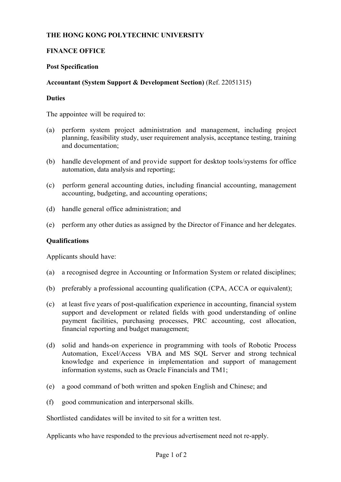# **THE HONG KONG POLYTECHNIC UNIVERSITY**

# **FINANCE OFFICE**

# **Post Specification**

# **Accountant (System Support & Development Section)** (Ref. 22051315)

#### **Duties**

The appointee will be required to:

- (a) perform system project administration and management, including project planning, feasibility study, user requirement analysis, acceptance testing, training and documentation;
- (b) handle development of and provide support for desktop tools/systems for office automation, data analysis and reporting;
- (c) perform general accounting duties, including financial accounting, management accounting, budgeting, and accounting operations;
- (d) handle general office administration; and
- (e) perform any other duties as assigned by the Director of Finance and her delegates.

#### **Qualifications**

Applicants should have:

- (a) a recognised degree in Accounting or Information System or related disciplines;
- (b) preferably a professional accounting qualification (CPA, ACCA or equivalent);
- (c) at least five years of post-qualification experience in accounting, financial system support and development or related fields with good understanding of online payment facilities, purchasing processes, PRC accounting, cost allocation, financial reporting and budget management;
- (d) solid and hands-on experience in programming with tools of Robotic Process Automation, Excel/Access VBA and MS SQL Server and strong technical knowledge and experience in implementation and support of management information systems, such as Oracle Financials and TM1;
- (e) a good command of both written and spoken English and Chinese; and
- (f) good communication and interpersonal skills.

Shortlisted candidates will be invited to sit for a written test.

Applicants who have responded to the previous advertisement need not re-apply.